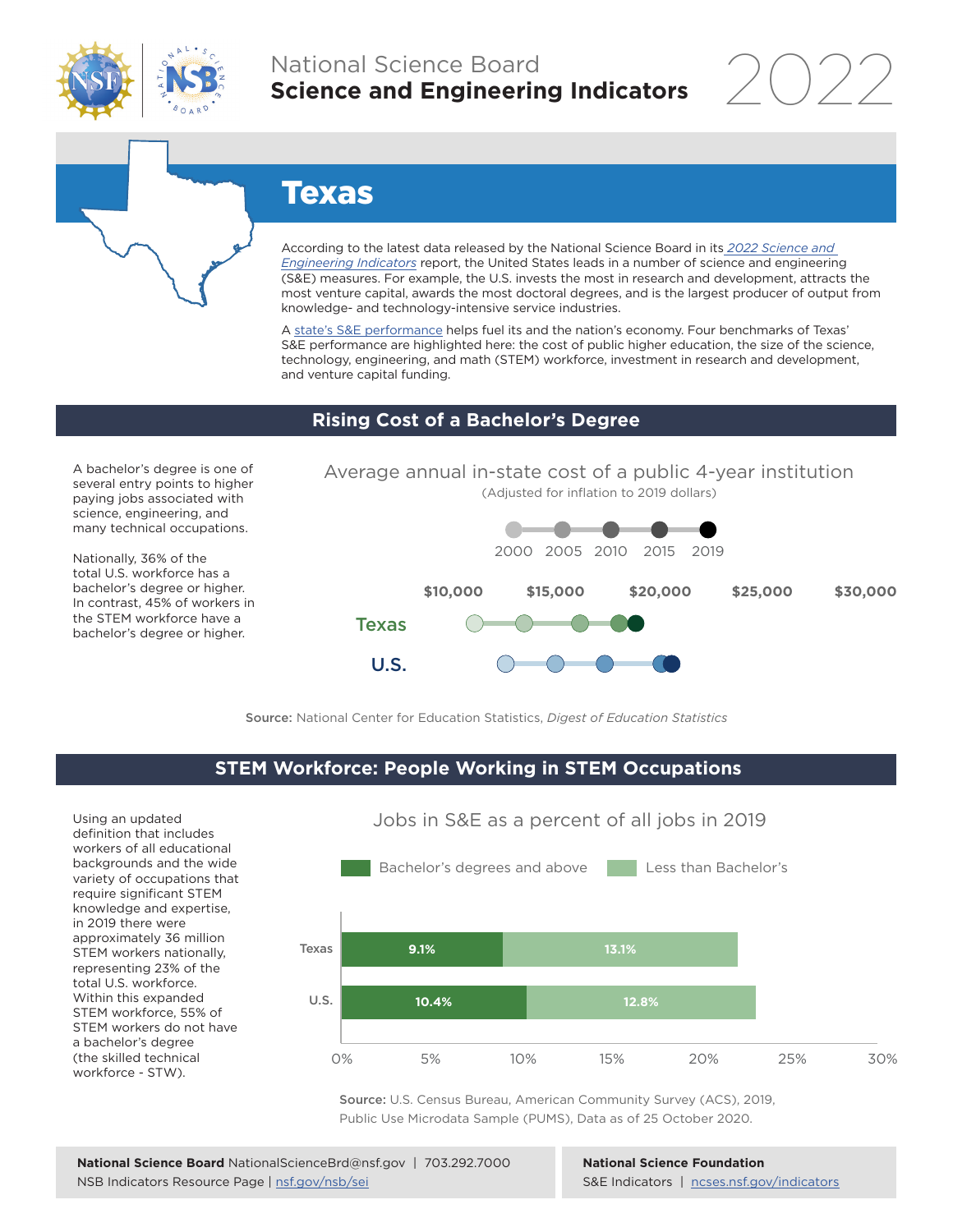

## National Science Board **Science and Engineering Indicators**



# Texas

According to the latest data released by the National Science Board in its *2022 Science and Engineering Indicators* report, the United States leads in a number of science and engineering (S&E) measures. For example, the U.S. invests the most in research and development, attracts the most venture capital, awards the most doctoral degrees, and is the largest producer of output from knowledge- and technology-intensive service industries.

A state's S&E performance helps fuel its and the nation's economy. Four benchmarks of Texas' S&E performance are highlighted here: the cost of public higher education, the size of the science, technology, engineering, and math (STEM) workforce, investment in research and development, and venture capital funding.

### **Rising Cost of a Bachelor's Degree**

A bachelor's degree is one of several entry points to higher paying jobs associated with science, engineering, and many technical occupations.

Nationally, 36% of the total U.S. workforce has a bachelor's degree or higher. In contrast, 45% of workers in the STEM workforce have a bachelor's degree or higher.





Source: National Center for Education Statistics, *Digest of Education Statistics*

### **STEM Workforce: People Working in STEM Occupations**

Using an updated definition that includes workers of all educational backgrounds and the wide variety of occupations that require significant STEM knowledge and expertise, in 2019 there were approximately 36 million STEM workers nationally, representing 23% of the total U.S. workforce. Within this expanded STEM workforce, 55% of STEM workers do not have a bachelor's degree (the skilled technical workforce - STW).



Jobs in S&E as a percent of all jobs in 2019

Source: U.S. Census Bureau, American Community Survey (ACS), 2019, Public Use Microdata Sample (PUMS), Data as of 25 October 2020.

**National Science Foundation** S&E Indicators | ncses.nsf.gov/indicators